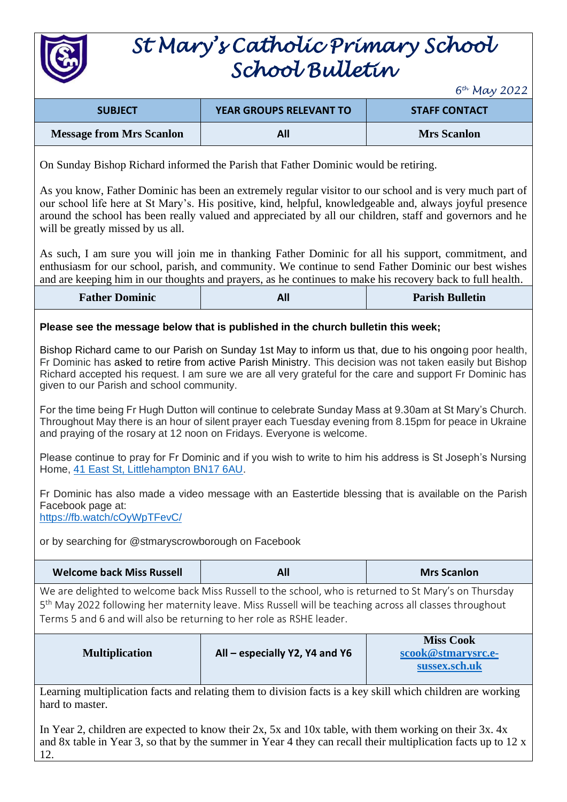

# *St Mary's Catholic Primary School School Bulletin*

*6 th May 2022*

| <b>SUBJECT</b>                  | <b>YEAR GROUPS RELEVANT TO</b> | <b>STAFF CONTACT</b> |
|---------------------------------|--------------------------------|----------------------|
| <b>Message from Mrs Scanlon</b> | All                            | <b>Mrs Scanlon</b>   |

On Sunday Bishop Richard informed the Parish that Father Dominic would be retiring.

As you know, Father Dominic has been an extremely regular visitor to our school and is very much part of our school life here at St Mary's. His positive, kind, helpful, knowledgeable and, always joyful presence around the school has been really valued and appreciated by all our children, staff and governors and he will be greatly missed by us all.

As such, I am sure you will join me in thanking Father Dominic for all his support, commitment, and enthusiasm for our school, parish, and community. We continue to send Father Dominic our best wishes and are keeping him in our thoughts and prayers, as he continues to make his recovery back to full health.

| <b>Father Dominic</b> |  | <b>Parish Bulletin</b> |
|-----------------------|--|------------------------|
|-----------------------|--|------------------------|

### **Please see the message below that is published in the church bulletin this week;**

Bishop Richard came to our Parish on Sunday 1st May to inform us that, due to his ongoing poor health, Fr Dominic has asked to retire from active Parish Ministry. This decision was not taken easily but Bishop Richard accepted his request. I am sure we are all very grateful for the care and support Fr Dominic has given to our Parish and school community.

For the time being Fr Hugh Dutton will continue to celebrate Sunday Mass at 9.30am at St Mary's Church. Throughout May there is an hour of silent prayer each Tuesday evening from 8.15pm for peace in Ukraine and praying of the rosary at 12 noon on Fridays. Everyone is welcome.

Please continue to pray for Fr Dominic and if you wish to write to him his address is St Joseph's Nursing Home, [41 East St, Littlehampton BN17 6AU.](https://www.google.com/maps/search/41+East+St,+Littlehampton+BN17+6AU?entry=gmail&source=g)

Fr Dominic has also made a video message with an Eastertide blessing that is available on the Parish Facebook page at: <https://fb.watch/cOyWpTFevC/>

or by searching for @stmaryscrowborough on Facebook

| <b>Welcome back Miss Russell</b> | All | <b>Mrs Scanlon</b> |
|----------------------------------|-----|--------------------|
|----------------------------------|-----|--------------------|

We are delighted to welcome back Miss Russell to the school, who is returned to St Mary's on Thursday 5<sup>th</sup> May 2022 following her maternity leave. Miss Russell will be teaching across all classes throughout Terms 5 and 6 and will also be returning to her role as RSHE leader.

Learning multiplication facts and relating them to division facts is a key skill which children are working hard to master

In Year 2, children are expected to know their 2x, 5x and 10x table, with them working on their 3x. 4x and 8x table in Year 3, so that by the summer in Year 4 they can recall their multiplication facts up to 12 x 12.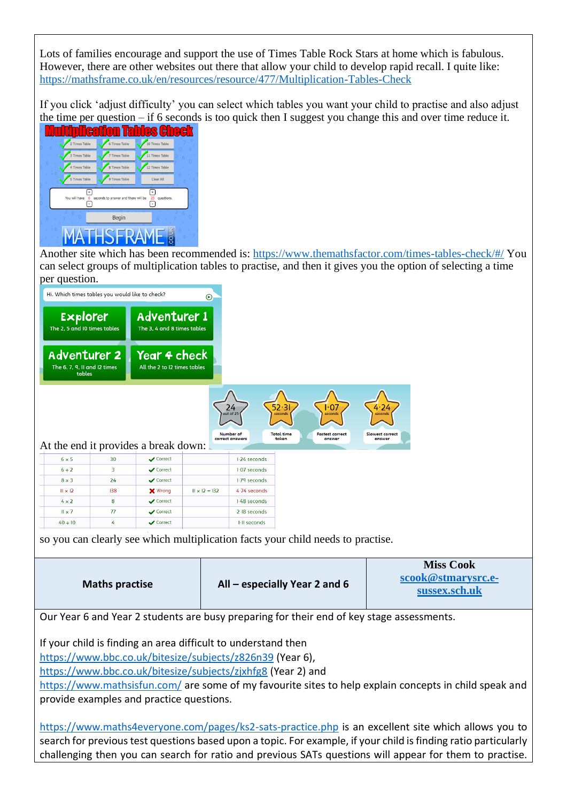Lots of families encourage and support the use of Times Table Rock Stars at home which is fabulous. However, there are other websites out there that allow your child to develop rapid recall. I quite like: <https://mathsframe.co.uk/en/resources/resource/477/Multiplication-Tables-Check>

If you click 'adjust difficulty' you can select which tables you want your child to practise and also adjust the time per question – if 6 seconds is too quick then I suggest you change this and over time reduce it.



Another site which has been recommended is:<https://www.themathsfactor.com/times-tables-check/#/> You can select groups of multiplication tables to practise, and then it gives you the option of selecting a time per question.

| Hi. Which times tables you would like to check?                                                                                                                                                                        |                       |                                                    | $\odot$              |                               |                            |                                                    |                                  |                                                                                                         |
|------------------------------------------------------------------------------------------------------------------------------------------------------------------------------------------------------------------------|-----------------------|----------------------------------------------------|----------------------|-------------------------------|----------------------------|----------------------------------------------------|----------------------------------|---------------------------------------------------------------------------------------------------------|
| Explorer<br>The 2, 5 and 10 times tables                                                                                                                                                                               |                       | <b>Adventurer 1</b><br>The 3, 4 and 8 times tables |                      |                               |                            |                                                    |                                  |                                                                                                         |
| <b>Adventurer 2</b><br>The 6, 7, 9, II and I2 times<br>tables                                                                                                                                                          |                       | Year 4 check<br>All the 2 to I2 times tables       |                      |                               |                            |                                                    |                                  |                                                                                                         |
|                                                                                                                                                                                                                        |                       |                                                    |                      | Number of<br>correct answers  | <b>Total time</b><br>taken | I 07<br>econd:<br><b>Fastest correct</b><br>answer | <b>Slowest correct</b><br>answei |                                                                                                         |
| At the end it provides a break down:                                                                                                                                                                                   |                       |                                                    |                      |                               |                            |                                                    |                                  |                                                                                                         |
| $6 \times 5$                                                                                                                                                                                                           | 30                    | Correct                                            |                      | I-24 seconds                  |                            |                                                    |                                  |                                                                                                         |
| $6 \div 2$<br>$8 \times 3$                                                                                                                                                                                             | 3<br>24               | Correct<br>Correct                                 |                      | I-07 seconds<br>1.79 seconds  |                            |                                                    |                                  |                                                                                                         |
| $II \times I2$                                                                                                                                                                                                         | 138                   | <b>X</b> Wrong                                     | $11 \times 12 = 132$ | 4.74 seconds                  |                            |                                                    |                                  |                                                                                                         |
| $4 \times 2$                                                                                                                                                                                                           | 8                     | Correct                                            |                      | 1-48 seconds                  |                            |                                                    |                                  |                                                                                                         |
| $II \times 7$                                                                                                                                                                                                          | 77                    | Correct                                            |                      | 2-18 seconds                  |                            |                                                    |                                  |                                                                                                         |
| $40 \div 10$                                                                                                                                                                                                           | 4                     | Correct                                            |                      | <b>I-II seconds</b>           |                            |                                                    |                                  |                                                                                                         |
| so you can clearly see which multiplication facts your child needs to practise.                                                                                                                                        | <b>Maths practise</b> |                                                    |                      | All - especially Year 2 and 6 |                            |                                                    |                                  | <b>Miss Cook</b><br>scook@stmarysrc.e-<br>sussex.sch.uk                                                 |
| Our Year 6 and Year 2 students are busy preparing for their end of key stage assessments.                                                                                                                              |                       |                                                    |                      |                               |                            |                                                    |                                  |                                                                                                         |
| If your child is finding an area difficult to understand then                                                                                                                                                          |                       |                                                    |                      |                               |                            |                                                    |                                  |                                                                                                         |
| https://www.bbc.co.uk/bitesize/subjects/z826n39 (Year 6),                                                                                                                                                              |                       |                                                    |                      |                               |                            |                                                    |                                  |                                                                                                         |
| https://www.bbc.co.uk/bitesize/subjects/zjxhfg8 (Year 2) and                                                                                                                                                           |                       |                                                    |                      |                               |                            |                                                    |                                  |                                                                                                         |
| https://www.mathsisfun.com/ are some of my favourite sites to help explain concepts in child speak and                                                                                                                 |                       |                                                    |                      |                               |                            |                                                    |                                  |                                                                                                         |
| provide examples and practice questions.                                                                                                                                                                               |                       |                                                    |                      |                               |                            |                                                    |                                  |                                                                                                         |
| https://www.maths4everyone.com/pages/ks2-sats-practice.php is an excellent site which allows you to<br>search for previous test questions based upon a topic. For example, if your child is finding ratio particularly |                       |                                                    |                      |                               |                            |                                                    |                                  |                                                                                                         |
|                                                                                                                                                                                                                        |                       |                                                    |                      |                               |                            |                                                    |                                  | challenging then you can search for ratio and previous SATs questions will appear for them to practise. |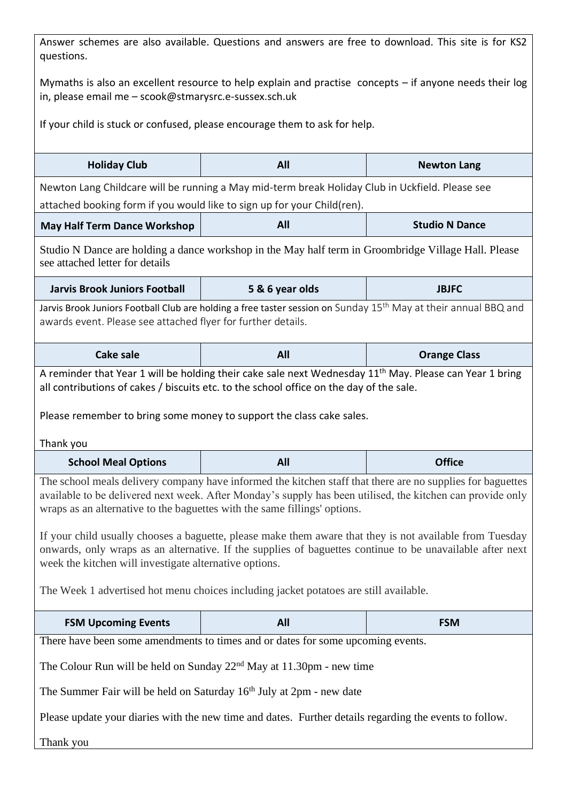Answer schemes are also available. Questions and answers are free to download. This site is for KS2 questions.

Mymaths is also an excellent resource to help explain and practise concepts – if anyone needs their log in, please email me – scook@stmarysrc.e-sussex.sch.uk

If your child is stuck or confused, please encourage them to ask for help.

| <b>Holiday Club</b>                                                                                                                                                                                                                                                                                                                                       | All                                                                                                                         | <b>Newton Lang</b> |  |  |  |  |
|-----------------------------------------------------------------------------------------------------------------------------------------------------------------------------------------------------------------------------------------------------------------------------------------------------------------------------------------------------------|-----------------------------------------------------------------------------------------------------------------------------|--------------------|--|--|--|--|
| Newton Lang Childcare will be running a May mid-term break Holiday Club in Uckfield. Please see                                                                                                                                                                                                                                                           |                                                                                                                             |                    |  |  |  |  |
|                                                                                                                                                                                                                                                                                                                                                           | attached booking form if you would like to sign up for your Child(ren).                                                     |                    |  |  |  |  |
| <b>May Half Term Dance Workshop</b>                                                                                                                                                                                                                                                                                                                       | All<br><b>Studio N Dance</b>                                                                                                |                    |  |  |  |  |
| see attached letter for details                                                                                                                                                                                                                                                                                                                           | Studio N Dance are holding a dance workshop in the May half term in Groombridge Village Hall. Please                        |                    |  |  |  |  |
| <b>Jarvis Brook Juniors Football</b><br>5 & 6 year olds<br><b>JBJFC</b>                                                                                                                                                                                                                                                                                   |                                                                                                                             |                    |  |  |  |  |
| awards event. Please see attached flyer for further details.                                                                                                                                                                                                                                                                                              | Jarvis Brook Juniors Football Club are holding a free taster session on Sunday 15 <sup>th</sup> May at their annual BBQ and |                    |  |  |  |  |
| All<br><b>Cake sale</b><br><b>Orange Class</b>                                                                                                                                                                                                                                                                                                            |                                                                                                                             |                    |  |  |  |  |
| A reminder that Year 1 will be holding their cake sale next Wednesday 11 <sup>th</sup> May. Please can Year 1 bring<br>all contributions of cakes / biscuits etc. to the school office on the day of the sale.<br>Please remember to bring some money to support the class cake sales.                                                                    |                                                                                                                             |                    |  |  |  |  |
| Thank you                                                                                                                                                                                                                                                                                                                                                 |                                                                                                                             |                    |  |  |  |  |
| All<br><b>Office</b><br><b>School Meal Options</b>                                                                                                                                                                                                                                                                                                        |                                                                                                                             |                    |  |  |  |  |
| The school meals delivery company have informed the kitchen staff that there are no supplies for baguettes<br>available to be delivered next week. After Monday's supply has been utilised, the kitchen can provide only<br>wraps as an alternative to the baguettes with the same fillings' options.                                                     |                                                                                                                             |                    |  |  |  |  |
| If your child usually chooses a baguette, please make them aware that they is not available from Tuesday<br>onwards, only wraps as an alternative. If the supplies of baguettes continue to be unavailable after next<br>week the kitchen will investigate alternative options.                                                                           |                                                                                                                             |                    |  |  |  |  |
| The Week 1 advertised hot menu choices including jacket potatoes are still available.                                                                                                                                                                                                                                                                     |                                                                                                                             |                    |  |  |  |  |
| <b>FSM Upcoming Events</b>                                                                                                                                                                                                                                                                                                                                | All                                                                                                                         | <b>FSM</b>         |  |  |  |  |
| There have been some amendments to times and or dates for some upcoming events.<br>The Colour Run will be held on Sunday $22nd$ May at 11.30pm - new time<br>The Summer Fair will be held on Saturday 16th July at 2pm - new date<br>Please update your diaries with the new time and dates. Further details regarding the events to follow.<br>Thank you |                                                                                                                             |                    |  |  |  |  |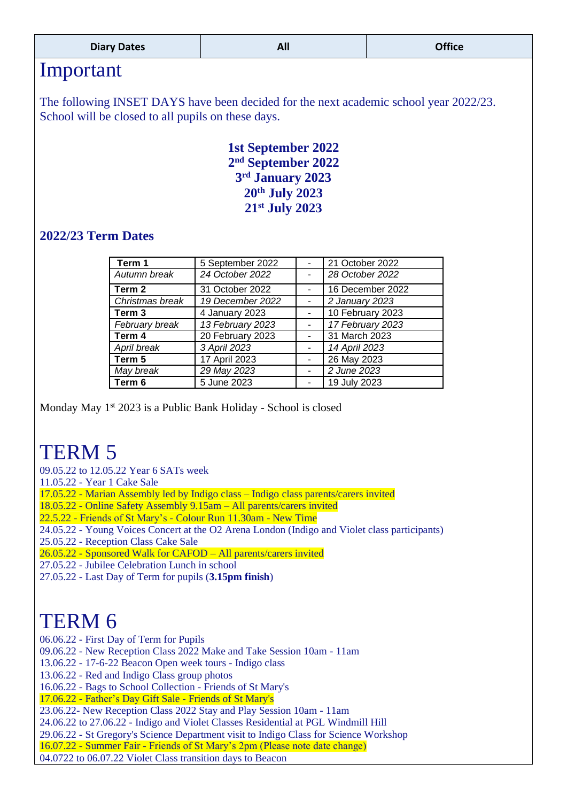| <b>Diary Dates</b> | ΔI<br>mш. | <b>Office</b> |
|--------------------|-----------|---------------|
|--------------------|-----------|---------------|

### Important

The following INSET DAYS have been decided for the next academic school year 2022/23. School will be closed to all pupils on these days.

> **1st September 2022 nd September 2022 rd January 2023 th July 2023 st July 2023**

### **2022/23 Term Dates**

| Term 1            | 5 September 2022 |  | 21 October 2022  |
|-------------------|------------------|--|------------------|
| Autumn break      | 24 October 2022  |  | 28 October 2022  |
| Term 2            | 31 October 2022  |  | 16 December 2022 |
| Christmas break   | 19 December 2022 |  | 2 January 2023   |
| Term <sub>3</sub> | 4 January 2023   |  | 10 February 2023 |
| February break    | 13 February 2023 |  | 17 February 2023 |
| Term 4            | 20 February 2023 |  | 31 March 2023    |
| April break       | 3 April 2023     |  | 14 April 2023    |
| Term 5            | 17 April 2023    |  | 26 May 2023      |
| May break         | 29 May 2023      |  | 2 June 2023      |
| Term 6            | 5 June 2023      |  | 19 July 2023     |

Monday May 1<sup>st</sup> 2023 is a Public Bank Holiday - School is closed

# TERM 5

09.05.22 to 12.05.22 Year 6 SATs week

- 11.05.22 Year 1 Cake Sale
- 17.05.22 Marian Assembly led by Indigo class Indigo class parents/carers invited
- 18.05.22 Online Safety Assembly 9.15am All parents/carers invited
- 22.5.22 Friends of St Mary's Colour Run 11.30am New Time
- 24.05.22 Young Voices Concert at the O2 Arena London (Indigo and Violet class participants)
- 25.05.22 Reception Class Cake Sale
- 26.05.22 Sponsored Walk for CAFOD All parents/carers invited
- 27.05.22 Jubilee Celebration Lunch in school
- 27.05.22 Last Day of Term for pupils (**3.15pm finish**)

# TERM 6

- 06.06.22 First Day of Term for Pupils
- 09.06.22 New Reception Class 2022 Make and Take Session 10am 11am
- 13.06.22 17-6-22 Beacon Open week tours Indigo class
- 13.06.22 Red and Indigo Class group photos
- 16.06.22 Bags to School Collection Friends of St Mary's
- 17.06.22 Father's Day Gift Sale Friends of St Mary's

23.06.22- New Reception Class 2022 Stay and Play Session 10am - 11am

24.06.22 to 27.06.22 - Indigo and Violet Classes Residential at PGL Windmill Hill

29.06.22 - St Gregory's Science Department visit to Indigo Class for Science Workshop

16.07.22 - Summer Fair - Friends of St Mary's 2pm (Please note date change)

04.0722 to 06.07.22 Violet Class transition days to Beacon